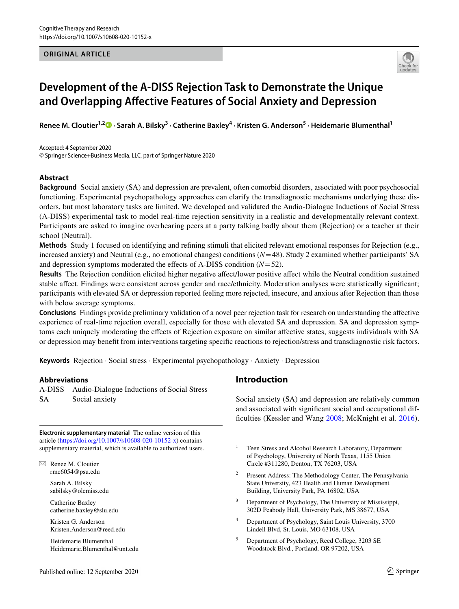## **ORIGINAL ARTICLE**



# **Development of the A‑DISS Rejection Task to Demonstrate the Unique and Overlapping Afective Features of Social Anxiety and Depression**

ReneeM. Cloutier<sup>1,2</sup><sup>®</sup> · Sarah A. Bilsky<sup>3</sup> · Catherine Baxley<sup>4</sup> · Kristen G. Anderson<sup>5</sup> · Heidemarie Blumenthal<sup>1</sup>

Accepted: 4 September 2020 © Springer Science+Business Media, LLC, part of Springer Nature 2020

## **Abstract**

**Background** Social anxiety (SA) and depression are prevalent, often comorbid disorders, associated with poor psychosocial functioning. Experimental psychopathology approaches can clarify the transdiagnostic mechanisms underlying these disorders, but most laboratory tasks are limited. We developed and validated the Audio-Dialogue Inductions of Social Stress (A-DISS) experimental task to model real-time rejection sensitivity in a realistic and developmentally relevant context. Participants are asked to imagine overhearing peers at a party talking badly about them (Rejection) or a teacher at their school (Neutral).

**Methods** Study 1 focused on identifying and refning stimuli that elicited relevant emotional responses for Rejection (e.g., increased anxiety) and Neutral (e.g., no emotional changes) conditions (*N*=48). Study 2 examined whether participants' SA and depression symptoms moderated the effects of A-DISS condition  $(N=52)$ .

Results The Rejection condition elicited higher negative affect/lower positive affect while the Neutral condition sustained stable afect. Findings were consistent across gender and race/ethnicity. Moderation analyses were statistically signifcant; participants with elevated SA or depression reported feeling more rejected, insecure, and anxious after Rejection than those with below average symptoms.

**Conclusions** Findings provide preliminary validation of a novel peer rejection task for research on understanding the afective experience of real-time rejection overall, especially for those with elevated SA and depression. SA and depression symptoms each uniquely moderating the efects of Rejection exposure on similar afective states, suggests individuals with SA or depression may beneft from interventions targeting specifc reactions to rejection/stress and transdiagnostic risk factors.

**Keywords** Rejection · Social stress · Experimental psychopathology · Anxiety · Depression

## **Abbreviations**

A-DISS Audio-Dialogue Inductions of Social Stress SA Social anxiety

**Electronic supplementary material** The online version of this article [\(https://doi.org/10.1007/s10608-020-10152-x\)](https://doi.org/10.1007/s10608-020-10152-x) contains supplementary material, which is available to authorized users.

 $\boxtimes$  Renee M. Cloutier rmc6054@psu.edu

> Sarah A. Bilsky sabilsky@olemiss.edu

Catherine Baxley catherine.baxley@slu.edu

Kristen G. Anderson Kristen.Anderson@reed.edu

Heidemarie Blumenthal Heidemarie.Blumenthal@unt.edu

# **Introduction**

Social anxiety (SA) and depression are relatively common and associated with signifcant social and occupational dif-ficulties (Kessler and Wang [2008;](#page-14-0) McKnight et al. [2016](#page-14-1)).

- <sup>1</sup> Teen Stress and Alcohol Research Laboratory, Department of Psychology, University of North Texas, 1155 Union Circle #311280, Denton, TX 76203, USA
- <sup>2</sup> Present Address: The Methodology Center, The Pennsylvania State University, 423 Health and Human Development Building, University Park, PA 16802, USA
- <sup>3</sup> Department of Psychology, The University of Mississippi, 302D Peabody Hall, University Park, MS 38677, USA
- <sup>4</sup> Department of Psychology, Saint Louis University, 3700 Lindell Blvd, St. Louis, MO 63108, USA
- <sup>5</sup> Department of Psychology, Reed College, 3203 SE Woodstock Blvd., Portland, OR 97202, USA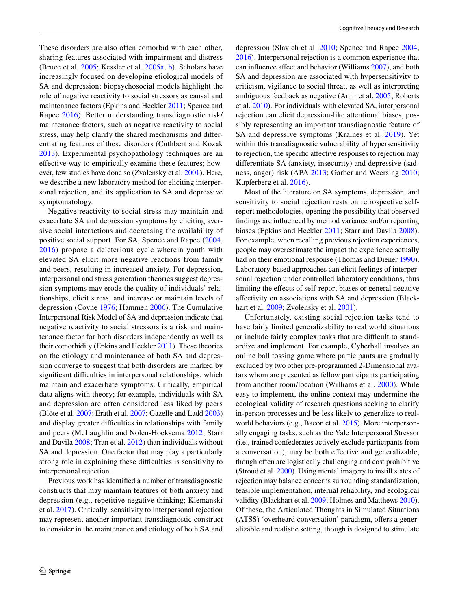These disorders are also often comorbid with each other, sharing features associated with impairment and distress (Bruce et al. [2005;](#page-13-0) Kessler et al. [2005a,](#page-14-2) [b\)](#page-14-3). Scholars have increasingly focused on developing etiological models of SA and depression; biopsychosocial models highlight the role of negative reactivity to social stressors as causal and maintenance factors (Epkins and Heckler [2011](#page-13-1); Spence and Rapee [2016](#page-15-0)). Better understanding transdiagnostic risk/ maintenance factors, such as negative reactivity to social stress, may help clarify the shared mechanisms and diferentiating features of these disorders (Cuthbert and Kozak [2013\)](#page-13-2). Experimental psychopathology techniques are an efective way to empirically examine these features; however, few studies have done so (Zvolensky et al. [2001](#page-15-1)). Here, we describe a new laboratory method for eliciting interpersonal rejection, and its application to SA and depressive symptomatology.

Negative reactivity to social stress may maintain and exacerbate SA and depression symptoms by eliciting aversive social interactions and decreasing the availability of positive social support. For SA, Spence and Rapee ([2004,](#page-14-4) [2016](#page-15-0)) propose a deleterious cycle wherein youth with elevated SA elicit more negative reactions from family and peers, resulting in increased anxiety. For depression, interpersonal and stress generation theories suggest depression symptoms may erode the quality of individuals' relationships, elicit stress, and increase or maintain levels of depression (Coyne [1976;](#page-13-3) Hammen [2006](#page-14-5)). The Cumulative Interpersonal Risk Model of SA and depression indicate that negative reactivity to social stressors is a risk and maintenance factor for both disorders independently as well as their comorbidity (Epkins and Heckler [2011](#page-13-1)). These theories on the etiology and maintenance of both SA and depression converge to suggest that both disorders are marked by significant difficulties in interpersonal relationships, which maintain and exacerbate symptoms. Critically, empirical data aligns with theory; for example, individuals with SA and depression are often considered less liked by peers (Blöte et al. [2007](#page-13-4); Erath et al. [2007](#page-14-6); Gazelle and Ladd [2003\)](#page-14-7) and display greater difficulties in relationships with family and peers (McLaughlin and Nolen-Hoeksema [2012](#page-14-8); Starr and Davila [2008](#page-15-2); Tran et al. [2012](#page-15-3)) than individuals without SA and depression. One factor that may play a particularly strong role in explaining these difficulties is sensitivity to interpersonal rejection.

Previous work has identifed a number of transdiagnostic constructs that may maintain features of both anxiety and depression (e.g., repetitive negative thinking; Klemanski et al. [2017](#page-14-9)). Critically, sensitivity to interpersonal rejection may represent another important transdiagnostic construct to consider in the maintenance and etiology of both SA and

depression (Slavich et al. [2010](#page-15-4); Spence and Rapee [2004,](#page-14-4) [2016](#page-15-0)). Interpersonal rejection is a common experience that can infuence afect and behavior (Williams [2007\)](#page-15-5), and both SA and depression are associated with hypersensitivity to criticism, vigilance to social threat, as well as interpreting ambiguous feedback as negative (Amir et al. [2005;](#page-13-5) Roberts et al. [2010\)](#page-15-6). For individuals with elevated SA, interpersonal rejection can elicit depression-like attentional biases, possibly representing an important transdiagnostic feature of SA and depressive symptoms (Kraines et al. [2019](#page-14-10)). Yet within this transdiagnostic vulnerability of hypersensitivity to rejection, the specifc afective responses to rejection may diferentiate SA (anxiety, insecurity) and depressive (sadness, anger) risk (APA [2013](#page-13-6); Garber and Weersing [2010](#page-14-11); Kupferberg et al. [2016\)](#page-14-12).

Most of the literature on SA symptoms, depression, and sensitivity to social rejection rests on retrospective selfreport methodologies, opening the possibility that observed fndings are infuenced by method variance and/or reporting biases (Epkins and Heckler [2011;](#page-13-1) Starr and Davila [2008](#page-15-2)). For example, when recalling previous rejection experiences, people may overestimate the impact the experience actually had on their emotional response (Thomas and Diener [1990](#page-15-7)). Laboratory-based approaches can elicit feelings of interpersonal rejection under controlled laboratory conditions, thus limiting the efects of self-report biases or general negative afectivity on associations with SA and depression (Black-hart et al. [2009;](#page-13-7) Zvolensky et al. [2001\)](#page-15-1).

Unfortunately, existing social rejection tasks tend to have fairly limited generalizability to real world situations or include fairly complex tasks that are difficult to standardize and implement. For example, Cyberball involves an online ball tossing game where participants are gradually excluded by two other pre-programmed 2-Dimensional avatars whom are presented as fellow participants participating from another room/location (Williams et al. [2000](#page-15-8)). While easy to implement, the online context may undermine the ecological validity of research questions seeking to clarify in-person processes and be less likely to generalize to realworld behaviors (e.g., Bacon et al. [2015\)](#page-13-8). More interpersonally engaging tasks, such as the Yale Interpersonal Stressor (i.e., trained confederates actively exclude participants from a conversation), may be both efective and generalizable, though often are logistically challenging and cost prohibitive (Stroud et al. [2000\)](#page-15-9). Using mental imagery to instill states of rejection may balance concerns surrounding standardization, feasible implementation, internal reliability, and ecological validity (Blackhart et al. [2009](#page-13-7); Holmes and Matthews [2010](#page-14-13)). Of these, the Articulated Thoughts in Simulated Situations (ATSS) 'overheard conversation' paradigm, offers a generalizable and realistic setting, though is designed to stimulate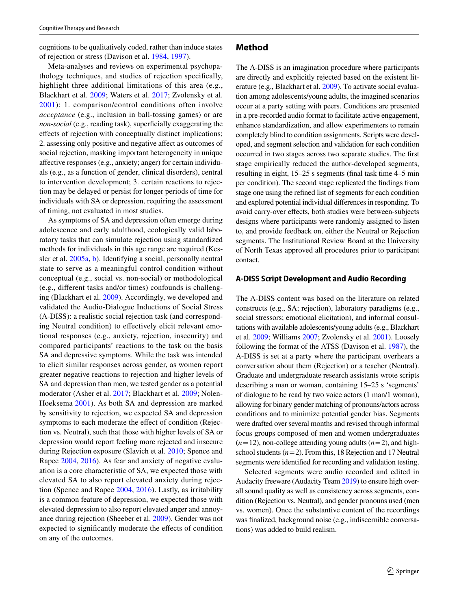cognitions to be qualitatively coded, rather than induce states of rejection or stress (Davison et al. [1984,](#page-13-9) [1997\)](#page-13-10).

Meta-analyses and reviews on experimental psychopathology techniques, and studies of rejection specifcally, highlight three additional limitations of this area (e.g., Blackhart et al. [2009](#page-13-7); Waters et al. [2017;](#page-15-10) Zvolensky et al. [2001](#page-15-1)): 1. comparison/control conditions often involve *acceptance* (e.g., inclusion in ball-tossing games) or are *non-social* (e.g., reading task), superficially exaggerating the efects of rejection with conceptually distinct implications; 2. assessing only positive and negative afect as outcomes of social rejection, masking important heterogeneity in unique afective responses (e.g., anxiety; anger) for certain individuals (e.g., as a function of gender, clinical disorders), central to intervention development; 3. certain reactions to rejection may be delayed or persist for longer periods of time for individuals with SA or depression, requiring the assessment of timing, not evaluated in most studies.

As symptoms of SA and depression often emerge during adolescence and early adulthood, ecologically valid laboratory tasks that can simulate rejection using standardized methods for individuals in this age range are required (Kessler et al. [2005a,](#page-14-2) [b](#page-14-3)). Identifying a social, personally neutral state to serve as a meaningful control condition without conceptual (e.g., social vs. non-social) or methodological (e.g., diferent tasks and/or times) confounds is challenging (Blackhart et al. [2009\)](#page-13-7). Accordingly, we developed and validated the Audio-Dialogue Inductions of Social Stress (A-DISS): a realistic social rejection task (and corresponding Neutral condition) to efectively elicit relevant emotional responses (e.g., anxiety, rejection, insecurity) and compared participants' reactions to the task on the basis SA and depressive symptoms. While the task was intended to elicit similar responses across gender, as women report greater negative reactions to rejection and higher levels of SA and depression than men, we tested gender as a potential moderator (Asher et al. [2017;](#page-13-11) Blackhart et al. [2009](#page-13-7); Nolen-Hoeksema [2001\)](#page-14-14). As both SA and depression are marked by sensitivity to rejection, we expected SA and depression symptoms to each moderate the effect of condition (Rejection vs. Neutral), such that those with higher levels of SA or depression would report feeling more rejected and insecure during Rejection exposure (Slavich et al. [2010;](#page-15-4) Spence and Rapee [2004](#page-14-4), [2016\)](#page-15-0). As fear and anxiety of negative evaluation is a core characteristic of SA, we expected those with elevated SA to also report elevated anxiety during rejection (Spence and Rapee [2004](#page-14-4), [2016](#page-15-0)). Lastly, as irritability is a common feature of depression, we expected those with elevated depression to also report elevated anger and annoyance during rejection (Sheeber et al. [2009](#page-15-11)). Gender was not expected to signifcantly moderate the efects of condition on any of the outcomes.

## **Method**

The A-DISS is an imagination procedure where participants are directly and explicitly rejected based on the existent literature (e.g., Blackhart et al. [2009\)](#page-13-7). To activate social evaluation among adolescents/young adults, the imagined scenarios occur at a party setting with peers. Conditions are presented in a pre-recorded audio format to facilitate active engagement, enhance standardization, and allow experimenters to remain completely blind to condition assignments. Scripts were developed, and segment selection and validation for each condition occurred in two stages across two separate studies. The frst stage empirically reduced the author-developed segments, resulting in eight, 15–25 s segments (fnal task time 4–5 min per condition). The second stage replicated the fndings from stage one using the refned list of segments for each condition and explored potential individual diferences in responding. To avoid carry-over efects, both studies were between-subjects designs where participants were randomly assigned to listen to, and provide feedback on, either the Neutral or Rejection segments. The Institutional Review Board at the University of North Texas approved all procedures prior to participant contact.

#### **A‑DISS Script Development and Audio Recording**

The A-DISS content was based on the literature on related constructs (e.g., SA; rejection), laboratory paradigms (e.g., social stressors; emotional elicitation), and informal consultations with available adolescents/young adults (e.g., Blackhart et al. [2009](#page-13-7); Williams [2007](#page-15-5); Zvolensky et al. [2001](#page-15-1)). Loosely following the format of the ATSS (Davison et al. [1987\)](#page-13-12), the A-DISS is set at a party where the participant overhears a conversation about them (Rejection) or a teacher (Neutral). Graduate and undergraduate research assistants wrote scripts describing a man or woman, containing 15–25 s 'segments' of dialogue to be read by two voice actors (1 man/1 woman), allowing for binary gender matching of pronouns/actors across conditions and to minimize potential gender bias. Segments were drafted over several months and revised through informal focus groups composed of men and women undergraduates  $(n=12)$ , non-college attending young adults  $(n=2)$ , and highschool students (*n*=2). From this, 18 Rejection and 17 Neutral segments were identifed for recording and validation testing.

Selected segments were audio recorded and edited in Audacity freeware (Audacity Team [2019](#page-13-13)) to ensure high overall sound quality as well as consistency across segments, condition (Rejection vs. Neutral), and gender pronouns used (men vs. women). Once the substantive content of the recordings was fnalized, background noise (e.g., indiscernible conversations) was added to build realism.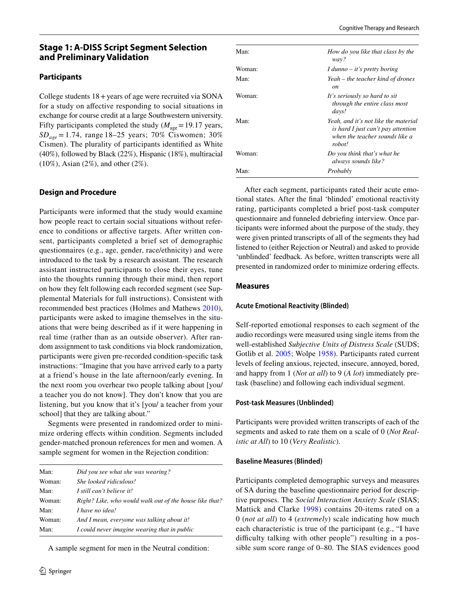# **Stage 1: A‑DISS Script Segment Selection and Preliminary Validation**

## **Participants**

College students  $18 + \text{years}$  of age were recruited via SONA for a study on afective responding to social situations in exchange for course credit at a large Southwestern university. Fifty participants completed the study  $(M<sub>age</sub>=19.17$  years, *SDage* = 1.74, range 18–25 years; 70% Ciswomen; 30% Cismen). The plurality of participants identifed as White (40%), followed by Black (22%), Hispanic (18%), multiracial (10%), Asian (2%), and other (2%).

## **Design and Procedure**

Participants were informed that the study would examine how people react to certain social situations without reference to conditions or afective targets. After written consent, participants completed a brief set of demographic questionnaires (e.g., age, gender, race/ethnicity) and were introduced to the task by a research assistant. The research assistant instructed participants to close their eyes, tune into the thoughts running through their mind, then report on how they felt following each recorded segment (see Supplemental Materials for full instructions). Consistent with recommended best practices (Holmes and Mathews [2010](#page-14-13)), participants were asked to imagine themselves in the situations that were being described as if it were happening in real time (rather than as an outside observer). After random assignment to task conditions via block randomization, participants were given pre-recorded condition-specifc task instructions: "Imagine that you have arrived early to a party at a friend's house in the late afternoon/early evening. In the next room you overhear two people talking about [you/ a teacher you do not know]. They don't know that you are listening, but you know that it's [you/ a teacher from your school] that they are talking about."

Segments were presented in randomized order to minimize ordering efects within condition. Segments included gender-matched pronoun references for men and women. A sample segment for women in the Rejection condition:

| Man:   | Did you see what she was wearing?                       |
|--------|---------------------------------------------------------|
| Woman: | She looked ridiculous!                                  |
| Man:   | I still can't believe it!                               |
| Woman: | Right? Like, who would walk out of the house like that? |
| Man:   | I have no idea!                                         |
| Woman: | And I mean, everyone was talking about it!              |
| Man:   | I could never imagine wearing that in public            |

A sample segment for men in the Neutral condition:

| Man:   | How do you like that class by the                                                                                      |
|--------|------------------------------------------------------------------------------------------------------------------------|
| Woman: | way?<br>I dunno $-$ it's pretty boring                                                                                 |
| Man:   | Yeah – the teacher kind of drones<br>on                                                                                |
| Woman: | It's seriously so hard to sit<br>through the entire class most<br>days!                                                |
| Man:   | Yeah, and it's not like the material<br>is hard I just can't pay attention<br>when the teacher sounds like a<br>robot! |
| Woman: | Do you think that's what he<br>always sounds like?                                                                     |
| Man:   | Probably                                                                                                               |

After each segment, participants rated their acute emotional states. After the fnal 'blinded' emotional reactivity rating, participants completed a brief post-task computer questionnaire and funneled debriefng interview. Once participants were informed about the purpose of the study, they were given printed transcripts of all of the segments they had listened to (either Rejection or Neutral) and asked to provide 'unblinded' feedback. As before, written transcripts were all presented in randomized order to minimize ordering efects.

#### **Measures**

#### **Acute Emotional Reactivity (Blinded)**

Self-reported emotional responses to each segment of the audio recordings were measured using single items from the well-established *Subjective Units of Distress Scale* (SUDS; Gotlib et al. [2005;](#page-14-15) Wolpe [1958\)](#page-15-12). Participants rated current levels of feeling anxious, rejected, insecure, annoyed, bored, and happy from 1 (*Not at all*) to 9 (*A lot*) immediately pretask (baseline) and following each individual segment.

#### **Post‑task Measures (Unblinded)**

Participants were provided written transcripts of each of the segments and asked to rate them on a scale of 0 (*Not Realistic at All*) to 10 (*Very Realistic*).

#### **Baseline Measures (Blinded)**

Participants completed demographic surveys and measures of SA during the baseline questionnaire period for descriptive purposes. The *Social Interaction Anxiety Scale* (SIAS; Mattick and Clarke [1998\)](#page-14-16) contains 20-items rated on a 0 (*not at all*) to 4 (*extremely*) scale indicating how much each characteristic is true of the participant (e.g., "I have difficulty talking with other people") resulting in a possible sum score range of 0–80. The SIAS evidences good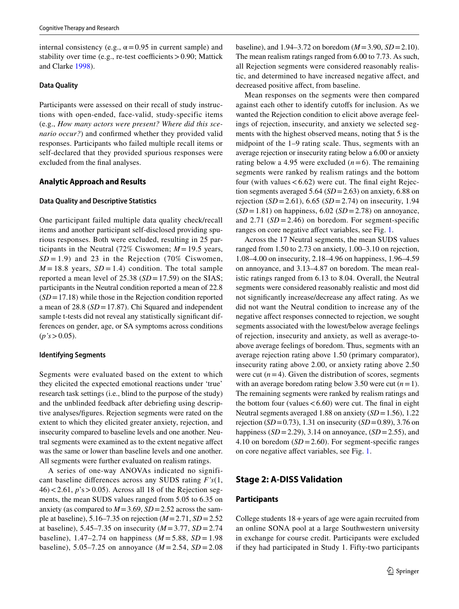internal consistency (e.g.,  $\alpha$  = 0.95 in current sample) and stability over time (e.g., re-test coefficients  $> 0.90$ ; Mattick and Clarke [1998](#page-14-16)).

#### **Data Quality**

Participants were assessed on their recall of study instructions with open-ended, face-valid, study-specific items (e.g., *How many actors were present? Where did this scenario occur?*) and confrmed whether they provided valid responses. Participants who failed multiple recall items or self-declared that they provided spurious responses were excluded from the fnal analyses.

#### **Analytic Approach and Results**

#### **Data Quality and Descriptive Statistics**

One participant failed multiple data quality check/recall items and another participant self-disclosed providing spurious responses. Both were excluded, resulting in 25 participants in the Neutral (72% Ciswomen;  $M = 19.5$  years,  $SD = 1.9$ ) and 23 in the Rejection (70% Ciswomen,  $M = 18.8$  years,  $SD = 1.4$ ) condition. The total sample reported a mean level of 25.38 (*SD*=17.59) on the SIAS; participants in the Neutral condition reported a mean of 22.8 (*SD*=17.18) while those in the Rejection condition reported a mean of 28.8 (*SD*=17.87). Chi Squared and independent sample t-tests did not reveal any statistically signifcant differences on gender, age, or SA symptoms across conditions  $(p's > 0.05)$ .

#### **Identifying Segments**

Segments were evaluated based on the extent to which they elicited the expected emotional reactions under 'true' research task settings (i.e., blind to the purpose of the study) and the unblinded feedback after debriefng using descriptive analyses/fgures. Rejection segments were rated on the extent to which they elicited greater anxiety, rejection, and insecurity compared to baseline levels and one another. Neutral segments were examined as to the extent negative afect was the same or lower than baseline levels and one another. All segments were further evaluated on realism ratings.

A series of one-way ANOVAs indicated no significant baseline diferences across any SUDS rating *F's*(1, 46)<2.61, *p*'s>0.05). Across all 18 of the Rejection segments, the mean SUDS values ranged from 5.05 to 6.35 on anxiety (as compared to  $M = 3.69$ ,  $SD = 2.52$  across the sample at baseline), 5.16–7.35 on rejection (*M*=2.71, *SD*=2.52 at baseline),  $5.45 - 7.35$  on insecurity ( $M = 3.77$ ,  $SD = 2.74$ baseline), 1.47–2.74 on happiness  $(M = 5.88, SD = 1.98)$ baseline), 5.05–7.25 on annoyance  $(M = 2.54, SD = 2.08)$  baseline), and 1.94–3.72 on boredom (*M*=3.90, *SD*=2.10). The mean realism ratings ranged from 6.00 to 7.73. As such, all Rejection segments were considered reasonably realistic, and determined to have increased negative afect, and decreased positive afect, from baseline.

Mean responses on the segments were then compared against each other to identify cutofs for inclusion. As we wanted the Rejection condition to elicit above average feelings of rejection, insecurity, and anxiety we selected segments with the highest observed means, noting that 5 is the midpoint of the 1–9 rating scale. Thus, segments with an average rejection or insecurity rating below a 6.00 or anxiety rating below a 4.95 were excluded  $(n=6)$ . The remaining segments were ranked by realism ratings and the bottom four (with values  $< 6.62$ ) were cut. The final eight Rejection segments averaged 5.64 (*SD*=2.63) on anxiety, 6.88 on rejection (*SD* =2.61), 6.65 (*SD* =2.74) on insecurity, 1.94  $(SD = 1.81)$  on happiness,  $6.02$   $(SD = 2.78)$  on annoyance, and  $2.71$  ( $SD = 2.46$ ) on boredom. For segment-specific ranges on core negative affect variables, see Fig. [1.](#page-5-0)

Across the 17 Neutral segments, the mean SUDS values ranged from 1.50 to 2.73 on anxiety, 1.00–3.10 on rejection, 1.08–4.00 on insecurity, 2.18–4.96 on happiness, 1.96–4.59 on annoyance, and 3.13–4.87 on boredom. The mean realistic ratings ranged from 6.13 to 8.04. Overall, the Neutral segments were considered reasonably realistic and most did not signifcantly increase/decrease any afect rating. As we did not want the Neutral condition to increase any of the negative afect responses connected to rejection, we sought segments associated with the lowest/below average feelings of rejection, insecurity and anxiety, as well as average-toabove average feelings of boredom. Thus, segments with an average rejection rating above 1.50 (primary comparator), insecurity rating above 2.00, or anxiety rating above 2.50 were cut  $(n=4)$ . Given the distribution of scores, segments with an average boredom rating below 3.50 were cut  $(n=1)$ . The remaining segments were ranked by realism ratings and the bottom four (values  $< 6.60$ ) were cut. The final in eight Neutral segments averaged 1.88 on anxiety (*SD*=1.56), 1.22 rejection (*SD*=0.73), 1.31 on insecurity (*SD*=0.89), 3.76 on happiness  $(SD=2.29)$ , 3.14 on annoyance,  $(SD=2.55)$ , and 4.10 on boredom (*SD*=2.60). For segment-specifc ranges on core negative afect variables, see Fig. [1.](#page-5-0)

## **Stage 2: A‑DISS Validation**

#### **Participants**

College students  $18 + \text{years}$  of age were again recruited from an online SONA pool at a large Southwestern university in exchange for course credit. Participants were excluded if they had participated in Study 1. Fifty-two participants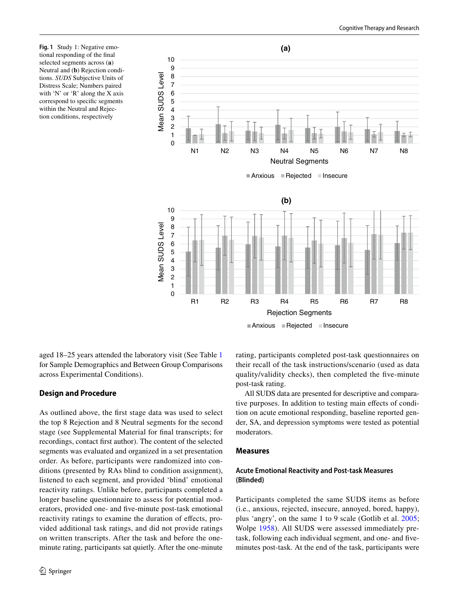<span id="page-5-0"></span>**Fig. 1** Study 1: Negative emotional responding of the fnal selected segments across (**a**) Neutral and (**b**) Rejection conditions. *SUDS* Subjective Units of Distress Scale; Numbers paired with 'N' or 'R' along the X axis correspond to specifc segments within the Neutral and Rejection conditions, respectively



aged 18–25 years attended the laboratory visit (See Table [1](#page-6-0) for Sample Demographics and Between Group Comparisons across Experimental Conditions).

## **Design and Procedure**

As outlined above, the frst stage data was used to select the top 8 Rejection and 8 Neutral segments for the second stage (see Supplemental Material for fnal transcripts; for recordings, contact frst author). The content of the selected segments was evaluated and organized in a set presentation order. As before, participants were randomized into conditions (presented by RAs blind to condition assignment), listened to each segment, and provided 'blind' emotional reactivity ratings. Unlike before, participants completed a longer baseline questionnaire to assess for potential moderators, provided one- and fve-minute post-task emotional reactivity ratings to examine the duration of efects, provided additional task ratings, and did not provide ratings on written transcripts. After the task and before the oneminute rating, participants sat quietly. After the one-minute rating, participants completed post-task questionnaires on their recall of the task instructions/scenario (used as data quality/validity checks), then completed the fve-minute post-task rating.

All SUDS data are presented for descriptive and comparative purposes. In addition to testing main effects of condition on acute emotional responding, baseline reported gender, SA, and depression symptoms were tested as potential moderators.

## **Measures**

## **Acute Emotional Reactivity and Post‑task Measures (Blinded)**

Participants completed the same SUDS items as before (i.e., anxious, rejected, insecure, annoyed, bored, happy), plus 'angry', on the same 1 to 9 scale (Gotlib et al. [2005](#page-14-15); Wolpe [1958\)](#page-15-12). All SUDS were assessed immediately pretask, following each individual segment, and one- and fveminutes post-task. At the end of the task, participants were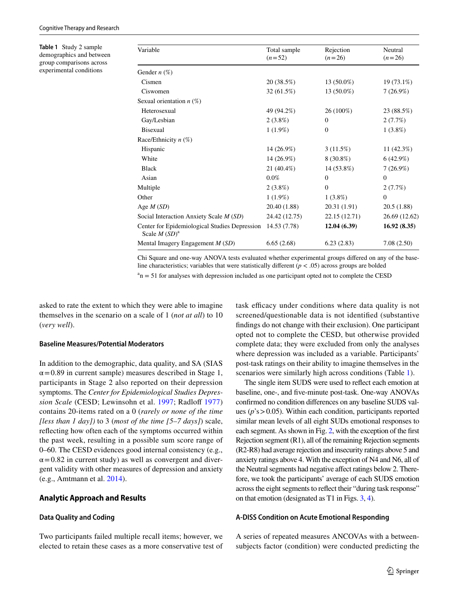<span id="page-6-0"></span>**Table 1** Study 2 sample demographics and between group comparisons across experimental conditions

| Variable                                                         | Total sample<br>$(n=52)$ | Rejection<br>$(n=26)$ | Neutral<br>$(n=26)$ |
|------------------------------------------------------------------|--------------------------|-----------------------|---------------------|
| Gender $n$ (%)                                                   |                          |                       |                     |
| Cismen                                                           | 20 (38.5%)               | $13(50.0\%)$          | 19 (73.1%)          |
| Ciswomen                                                         | 32 (61.5%)               | $13(50.0\%)$          | $7(26.9\%)$         |
| Sexual orientation $n$ (%)                                       |                          |                       |                     |
| Heterosexual                                                     | 49 (94.2%)               | 26 (100%)             | 23 (88.5%)          |
| Gay/Lesbian                                                      | $2(3.8\%)$               | $\mathbf{0}$          | 2(7.7%)             |
| <b>Bisexual</b>                                                  | $1(1.9\%)$               | $\mathbf{0}$          | $1(3.8\%)$          |
| Race/Ethnicity $n$ (%)                                           |                          |                       |                     |
| Hispanic                                                         | 14 (26.9%)               | 3(11.5%)              | 11 $(42.3%)$        |
| White                                                            | 14 (26.9%)               | $8(30.8\%)$           | 6(42.9%)            |
| <b>Black</b>                                                     | 21 (40.4%)               | 14 (53.8%)            | $7(26.9\%)$         |
| Asian                                                            | $0.0\%$                  | $\mathbf{0}$          | $\mathbf{0}$        |
| Multiple                                                         | $2(3.8\%)$               | $\mathbf{0}$          | 2(7.7%)             |
| Other                                                            | $1(1.9\%)$               | $1(3.8\%)$            | $\theta$            |
| Age $M(SD)$                                                      | 20.40 (1.88)             | 20.31 (1.91)          | 20.5(1.88)          |
| Social Interaction Anxiety Scale M (SD)                          | 24.42 (12.75)            | 22.15 (12.71)         | 26.69 (12.62)       |
| Center for Epidemiological Studies Depression<br>Scale $M(SD)^a$ | 14.53 (7.78)             | 12.04(6.39)           | 16.92(8.35)         |
| Mental Imagery Engagement $M(SD)$                                | 6.65(2.68)               | 6.23(2.83)            | 7.08(2.50)          |

Chi Square and one-way ANOVA tests evaluated whether experimental groups difered on any of the baseline characteristics; variables that were statistically different  $(p < .05)$  across groups are bolded  $a<sup>a</sup>n = 51$  for analyses with depression included as one participant opted not to complete the CESD

asked to rate the extent to which they were able to imagine themselves in the scenario on a scale of 1 (*not at all*) to 10 (*very well*).

#### **Baseline Measures/Potential Moderators**

In addition to the demographic, data quality, and SA (SIAS  $\alpha$  = 0.89 in current sample) measures described in Stage 1, participants in Stage 2 also reported on their depression symptoms. The *Center for Epidemiological Studies Depression Scale* (CESD; Lewinsohn et al. [1997](#page-14-17); Radloff [1977\)](#page-14-18) contains 20-items rated on a 0 (*rarely or none of the time [less than 1 day])* to 3 (*most of the time [5–7 days]*) scale, refecting how often each of the symptoms occurred within the past week, resulting in a possible sum score range of 0–60. The CESD evidences good internal consistency (e.g.,  $\alpha$  = 0.82 in current study) as well as convergent and divergent validity with other measures of depression and anxiety (e.g., Amtmann et al. [2014\)](#page-13-14).

## **Analytic Approach and Results**

## **Data Quality and Coding**

Two participants failed multiple recall items; however, we elected to retain these cases as a more conservative test of task efficacy under conditions where data quality is not screened/questionable data is not identifed (substantive fndings do not change with their exclusion). One participant opted not to complete the CESD, but otherwise provided complete data; they were excluded from only the analyses where depression was included as a variable. Participants' post-task ratings on their ability to imagine themselves in the scenarios were similarly high across conditions (Table [1\)](#page-6-0).

The single item SUDS were used to refect each emotion at baseline, one-, and fve-minute post-task. One-way ANOVAs confrmed no condition diferences on any baseline SUDS values (*p*'s>0.05). Within each condition, participants reported similar mean levels of all eight SUDs emotional responses to each segment. As shown in Fig. [2](#page-7-0), with the exception of the frst Rejection segment (R1), all of the remaining Rejection segments (R2-R8) had average rejection and insecurity ratings above 5 and anxiety ratings above 4. With the exception of N4 and N6, all of the Neutral segments had negative affect ratings below 2. Therefore, we took the participants' average of each SUDS emotion across the eight segments to refect their "during task response" on that emotion (designated as T1 in Figs. [3](#page-8-0), [4](#page-9-0)).

## **A‑DISS Condition on Acute Emotional Responding**

A series of repeated measures ANCOVAs with a betweensubjects factor (condition) were conducted predicting the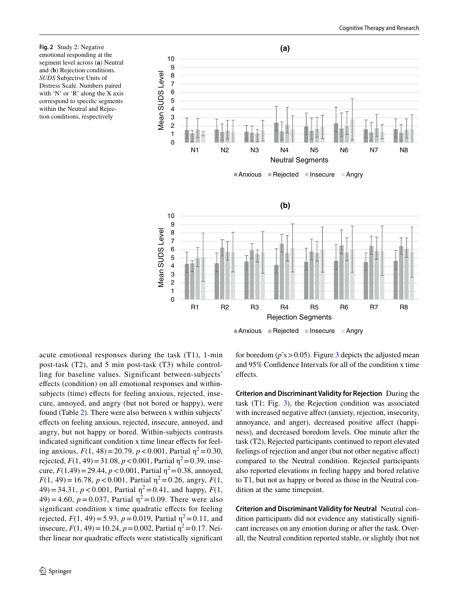<span id="page-7-0"></span>**Fig. 2** Study 2: Negative emotional responding at the segment level across (**a**) Neutral and (**b**) Rejection conditions. *SUDS* Subjective Units of Distress Scale. Numbers paired with 'N' or 'R' along the X axis correspond to specifc segments within the Neutral and Rejection conditions, respectively



Anxious Rejected Insecure Angry

acute emotional responses during the task (T1), 1-min post-task (T2), and 5 min post-task (T3) while controlling for baseline values. Significant between-subjects' efects (condition) on all emotional responses and withinsubjects (time) effects for feeling anxious, rejected, insecure, annoyed, and angry (but not bored or happy), were found (Table [2](#page-9-1)). There were also between x within subjects' efects on feeling anxious, rejected, insecure, annoyed, and angry, but not happy or bored. Within-subjects contrasts indicated significant condition x time linear effects for feeling anxious,  $F(1, 48) = 20.79$ ,  $p < 0.001$ , Partial  $\eta^2 = 0.30$ , rejected,  $F(1, 49) = 31.08$ ,  $p < 0.001$ , Partial  $\eta^2 = 0.39$ , insecure,  $F(1,49) = 29.44$ ,  $p < 0.001$ , Partial  $\eta^2 = 0.38$ , annoyed,  $F(1, 49) = 16.78$ ,  $p < 0.001$ , Partial  $\eta^2 = 0.26$ , angry,  $F(1, 49)$  $(49) = 34.31, p < 0.001$ , Partial  $\eta^2 = 0.41$ , and happy,  $F(1,$  $(49) = 4.60$ ,  $p = 0.037$ , Partial  $\eta^2 = 0.09$ . There were also significant condition x time quadratic effects for feeling rejected,  $F(1, 49) = 5.93$ ,  $p = 0.019$ , Partial  $\eta^2 = 0.11$ , and insecure,  $F(1, 49) = 10.24$ ,  $p = 0.002$ , Partial  $\eta^2 = 0.17$ . Neither linear nor quadratic efects were statistically signifcant for boredom ( $p$ 's  $> 0.05$ ). Figure [3](#page-8-0) depicts the adjusted mean and 95% Confdence Intervals for all of the condition x time effects.

**Criterion and Discriminant Validity for Rejection** During the task (T1; Fig. [3\)](#page-8-0), the Rejection condition was associated with increased negative affect (anxiety, rejection, insecurity, annoyance, and anger), decreased positive affect (happiness), and decreased boredom levels. One minute after the task (T2), Rejected participants continued to report elevated feelings of rejection and anger (but not other negative afect) compared to the Neutral condition. Rejected participants also reported elevations in feeling happy and bored relative to T1, but not as happy or bored as those in the Neutral condition at the same timepoint.

**Criterion and Discriminant Validity for Neutral** Neutral condition participants did not evidence any statistically signifcant increases on any emotion during or after the task. Overall, the Neutral condition reported stable, or slightly (but not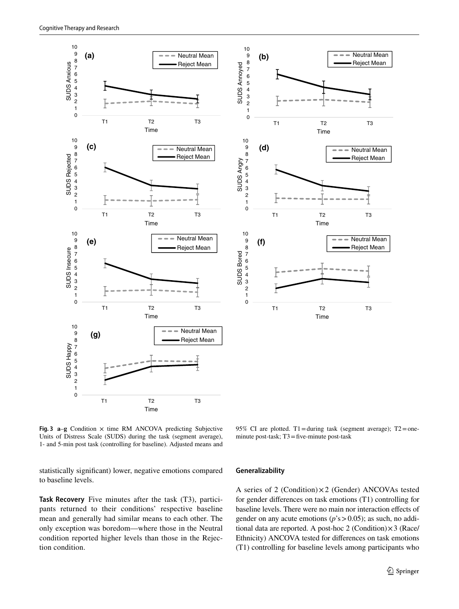



<span id="page-8-0"></span>**Fig. 3**  $a-g$  Condition  $\times$  time RM ANCOVA predicting Subjective Units of Distress Scale (SUDS) during the task (segment average), 1- and 5-min post task (controlling for baseline). Adjusted means and

95% CI are plotted. T1=during task (segment average); T2=oneminute post-task; T3=five-minute post-task

statistically signifcant) lower, negative emotions compared to baseline levels.

# **Task Recovery** Five minutes after the task (T3), participants returned to their conditions' respective baseline mean and generally had similar means to each other. The only exception was boredom—where those in the Neutral condition reported higher levels than those in the Rejection condition.

#### **Generalizability**

A series of 2 (Condition)×2 (Gender) ANCOVAs tested for gender diferences on task emotions (T1) controlling for baseline levels. There were no main nor interaction efects of gender on any acute emotions (*p*'s>0.05); as such, no additional data are reported. A post-hoc 2 (Condition)×3 (Race/ Ethnicity) ANCOVA tested for diferences on task emotions (T1) controlling for baseline levels among participants who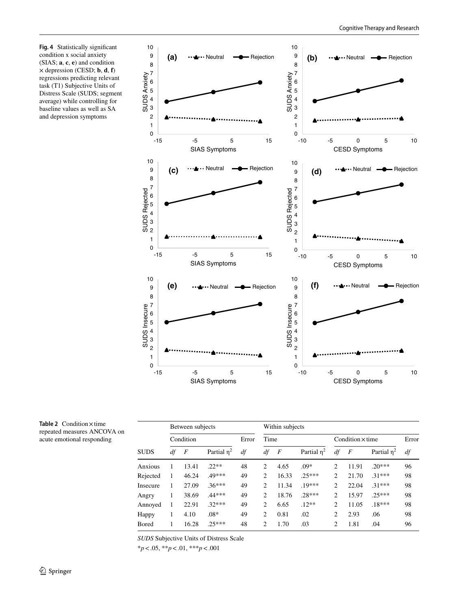<span id="page-9-0"></span>**Fig. 4** Statistically signifcant condition x social anxiety (SIAS; **a**, **c**, **e**) and condition × depression (CESD; **b**, **d**, **f**) regressions predicting relevant task (T1) Subjective Units of Distress Scale (SUDS; segment average) while controlling for baseline values as well as SA and depression symptoms



<span id="page-9-1"></span>**Table 2** Condition×time repeated measures ANCOVA on acute emotional responding

| SUDS     | Between subjects |                |               |       | Within subjects |                |               |                         |                |               |       |
|----------|------------------|----------------|---------------|-------|-----------------|----------------|---------------|-------------------------|----------------|---------------|-------|
|          | Condition        |                |               | Error | Time            |                |               | Condition $\times$ time |                |               | Error |
|          | df               | $\overline{F}$ | Partial $n^2$ | df    | df              | $\overline{F}$ | Partial $n^2$ | df                      | $\overline{F}$ | Partial $n^2$ | df    |
| Anxious  | 1                | 13.41          | $22**$        | 48    | 2               | 4.65           | $.09*$        | $\overline{c}$          | 11.91          | $20***$       | 96    |
| Rejected | 1                | 46.24          | .49***        | 49    | $\overline{c}$  | 16.33          | $.25***$      | $\overline{c}$          | 21.70          | $.31***$      | 98    |
| Insecure | 1                | 27.09          | $.36***$      | 49    | $\overline{c}$  | 11.34          | $.19***$      | $\overline{c}$          | 22.04          | $.31***$      | 98    |
| Angry    | 1                | 38.69          | .44***        | 49    | 2               | 18.76          | $.28***$      | $\overline{c}$          | 15.97          | $25***$       | 98    |
| Annoved  | 1                | 22.91          | $.32***$      | 49    | $\overline{c}$  | 6.65           | $.12**$       | 2                       | 11.05          | $.18***$      | 98    |
| Happy    | 1                | 4.10           | $.08*$        | 49    | 2               | 0.81           | .02           | 2                       | 2.93           | .06           | 98    |
| Bored    |                  | 16.28          | $25***$       | 48    | 2               | 1.70           | .03           | 2                       | 1.81           | .04           | 96    |

*SUDS* Subjective Units of Distress Scale

\**p*<.05, \*\**p*<.01, \*\*\**p*<.001

-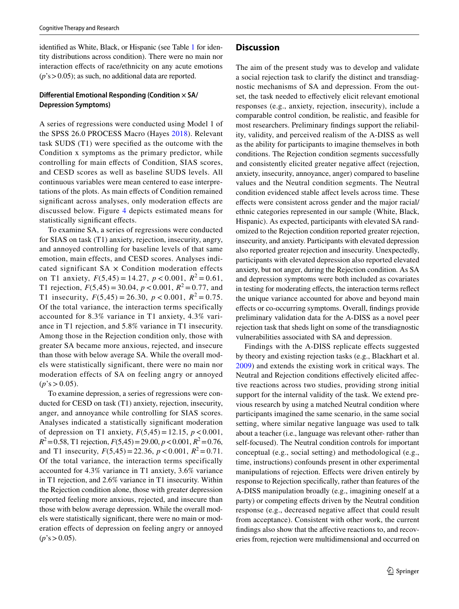identifed as White, Black, or Hispanic (see Table [1](#page-6-0) for identity distributions across condition). There were no main nor interaction effects of race/ethnicity on any acute emotions (*p*'s>0.05); as such, no additional data are reported.

## **Diferential Emotional Responding (Condition × SA/ Depression Symptoms)**

A series of regressions were conducted using Model 1 of the SPSS 26.0 PROCESS Macro (Hayes [2018\)](#page-14-19). Relevant task SUDS (T1) were specifed as the outcome with the Condition x symptoms as the primary predictor, while controlling for main efects of Condition, SIAS scores, and CESD scores as well as baseline SUDS levels. All continuous variables were mean centered to ease interpretations of the plots. As main efects of Condition remained signifcant across analyses, only moderation efects are discussed below. Figure [4](#page-9-0) depicts estimated means for statistically signifcant efects.

To examine SA, a series of regressions were conducted for SIAS on task (T1) anxiety, rejection, insecurity, angry, and annoyed controlling for baseline levels of that same emotion, main effects, and CESD scores. Analyses indicated significant  $SA \times$  Condition moderation effects on T1 anxiety,  $F(5,45) = 14.27$ ,  $p < 0.001$ ,  $R^2 = 0.61$ , T1 rejection,  $F(5,45) = 30.04$ ,  $p < 0.001$ ,  $R^2 = 0.77$ , and T1 insecurity,  $F(5,45) = 26.30, p < 0.001, R^2 = 0.75$ . Of the total variance, the interaction terms specifically accounted for 8.3% variance in T1 anxiety, 4.3% variance in T1 rejection, and 5.8% variance in T1 insecurity. Among those in the Rejection condition only, those with greater SA became more anxious, rejected, and insecure than those with below average SA. While the overall models were statistically significant, there were no main nor moderation effects of SA on feeling angry or annoyed  $(p's > 0.05)$ .

To examine depression, a series of regressions were conducted for CESD on task (T1) anxiety, rejection, insecurity, anger, and annoyance while controlling for SIAS scores. Analyses indicated a statistically signifcant moderation of depression on T1 anxiety,  $F(5,45) = 12.15$ ,  $p < 0.001$ ,  $R^2$ =0.58, T1 rejection,  $F(5,45)$ =29.00,  $p < 0.001$ ,  $R^2$ =0.76, and T1 insecurity,  $F(5,45) = 22.36$ ,  $p < 0.001$ ,  $R^2 = 0.71$ . Of the total variance, the interaction terms specifically accounted for 4.3% variance in T1 anxiety, 3.6% variance in T1 rejection, and 2.6% variance in T1 insecurity. Within the Rejection condition alone, those with greater depression reported feeling more anxious, rejected, and insecure than those with below average depression. While the overall models were statistically signifcant, there were no main or moderation efects of depression on feeling angry or annoyed  $(p's > 0.05)$ .

#### **Discussion**

The aim of the present study was to develop and validate a social rejection task to clarify the distinct and transdiagnostic mechanisms of SA and depression. From the outset, the task needed to efectively elicit relevant emotional responses (e.g., anxiety, rejection, insecurity), include a comparable control condition, be realistic, and feasible for most researchers. Preliminary fndings support the reliability, validity, and perceived realism of the A-DISS as well as the ability for participants to imagine themselves in both conditions. The Rejection condition segments successfully and consistently elicited greater negative afect (rejection, anxiety, insecurity, annoyance, anger) compared to baseline values and the Neutral condition segments. The Neutral condition evidenced stable afect levels across time. These efects were consistent across gender and the major racial/ ethnic categories represented in our sample (White, Black, Hispanic). As expected, participants with elevated SA randomized to the Rejection condition reported greater rejection, insecurity, and anxiety. Participants with elevated depression also reported greater rejection and insecurity. Unexpectedly, participants with elevated depression also reported elevated anxiety, but not anger, during the Rejection condition. As SA and depression symptoms were both included as covariates in testing for moderating efects, the interaction terms refect the unique variance accounted for above and beyond main efects or co-occurring symptoms. Overall, fndings provide preliminary validation data for the A-DISS as a novel peer rejection task that sheds light on some of the transdiagnostic vulnerabilities associated with SA and depression.

Findings with the A-DISS replicate efects suggested by theory and existing rejection tasks (e.g., Blackhart et al. [2009\)](#page-13-7) and extends the existing work in critical ways. The Neutral and Rejection conditions efectively elicited afective reactions across two studies, providing strong initial support for the internal validity of the task. We extend previous research by using a matched Neutral condition where participants imagined the same scenario, in the same social setting, where similar negative language was used to talk about a teacher (i.e., language was relevant other- rather than self-focused). The Neutral condition controls for important conceptual (e.g., social setting) and methodological (e.g., time, instructions) confounds present in other experimental manipulations of rejection. Efects were driven entirely by response to Rejection specifcally, rather than features of the A-DISS manipulation broadly (e.g., imagining oneself at a party) or competing efects driven by the Neutral condition response (e.g., decreased negative affect that could result from acceptance). Consistent with other work, the current findings also show that the affective reactions to, and recoveries from, rejection were multidimensional and occurred on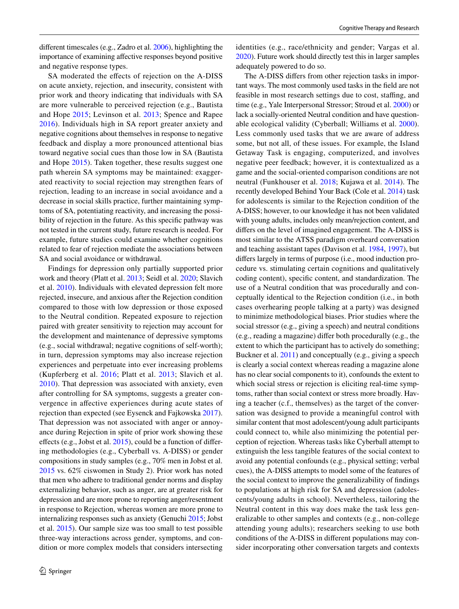diferent timescales (e.g., Zadro et al. [2006\)](#page-15-13), highlighting the importance of examining afective responses beyond positive and negative response types.

SA moderated the effects of rejection on the A-DISS on acute anxiety, rejection, and insecurity, consistent with prior work and theory indicating that individuals with SA are more vulnerable to perceived rejection (e.g., Bautista and Hope [2015](#page-13-15); Levinson et al. [2013;](#page-14-20) Spence and Rapee [2016\)](#page-15-0). Individuals high in SA report greater anxiety and negative cognitions about themselves in response to negative feedback and display a more pronounced attentional bias toward negative social cues than those low in SA (Bautista and Hope [2015\)](#page-13-15). Taken together, these results suggest one path wherein SA symptoms may be maintained: exaggerated reactivity to social rejection may strengthen fears of rejection, leading to an increase in social avoidance and a decrease in social skills practice, further maintaining symptoms of SA, potentiating reactivity, and increasing the possibility of rejection in the future. As this specifc pathway was not tested in the current study, future research is needed. For example, future studies could examine whether cognitions related to fear of rejection mediate the associations between SA and social avoidance or withdrawal.

Findings for depression only partially supported prior work and theory (Platt et al. [2013;](#page-14-21) Seidl et al. [2020](#page-15-14); Slavich et al. [2010\)](#page-15-4). Individuals with elevated depression felt more rejected, insecure, and anxious after the Rejection condition compared to those with low depression or those exposed to the Neutral condition. Repeated exposure to rejection paired with greater sensitivity to rejection may account for the development and maintenance of depressive symptoms (e.g., social withdrawal; negative cognitions of self-worth); in turn, depression symptoms may also increase rejection experiences and perpetuate into ever increasing problems (Kupferberg et al. [2016;](#page-14-12) Platt et al. [2013;](#page-14-21) Slavich et al. [2010\)](#page-15-4). That depression was associated with anxiety, even after controlling for SA symptoms, suggests a greater convergence in afective experiences during acute states of rejection than expected (see Eysenck and Fajkowska [2017](#page-14-22)). That depression was not associated with anger or annoyance during Rejection in spite of prior work showing these effects (e.g., Jobst et al.  $2015$ ), could be a function of differing methodologies (e.g., Cyberball vs. A-DISS) or gender compositions in study samples (e.g., 70% men in Jobst et al. [2015](#page-14-23) vs. 62% ciswomen in Study 2). Prior work has noted that men who adhere to traditional gender norms and display externalizing behavior, such as anger, are at greater risk for depression and are more prone to reporting anger/resentment in response to Rejection, whereas women are more prone to internalizing responses such as anxiety (Genuchi [2015](#page-14-24); Jobst et al. [2015\)](#page-14-23). Our sample size was too small to test possible three-way interactions across gender, symptoms, and condition or more complex models that considers intersecting identities (e.g., race/ethnicity and gender; Vargas et al. [2020\)](#page-15-15). Future work should directly test this in larger samples adequately powered to do so.

The A-DISS difers from other rejection tasks in important ways. The most commonly used tasks in the feld are not feasible in most research settings due to cost, stafng, and time (e.g., Yale Interpersonal Stressor; Stroud et al. [2000](#page-15-9)) or lack a socially-oriented Neutral condition and have questionable ecological validity (Cyberball; Williams et al. [2000](#page-15-8)). Less commonly used tasks that we are aware of address some, but not all, of these issues. For example, the Island Getaway Task is engaging, computerized, and involves negative peer feedback; however, it is contextualized as a game and the social-oriented comparison conditions are not neutral (Funkhouser et al. [2018](#page-14-25); Kujawa et al. [2014\)](#page-14-26). The recently developed Behind Your Back (Cole et al. [2014\)](#page-13-16) task for adolescents is similar to the Rejection condition of the A-DISS; however, to our knowledge it has not been validated with young adults, includes only mean/rejection content, and difers on the level of imagined engagement. The A-DISS is most similar to the ATSS paradigm overheard conversation and teaching assistant tapes (Davison et al. [1984](#page-13-9), [1997](#page-13-10)), but difers largely in terms of purpose (i.e., mood induction procedure vs. stimulating certain cognitions and qualitatively coding content), specifc content, and standardization. The use of a Neutral condition that was procedurally and conceptually identical to the Rejection condition (i.e., in both cases overhearing people talking at a party) was designed to minimize methodological biases. Prior studies where the social stressor (e.g., giving a speech) and neutral conditions (e.g., reading a magazine) difer both procedurally (e.g., the extent to which the participant has to actively do something; Buckner et al. [2011\)](#page-13-17) and conceptually (e.g., giving a speech is clearly a social context whereas reading a magazine alone has no clear social components to it), confounds the extent to which social stress or rejection is eliciting real-time symptoms, rather than social context or stress more broadly. Having a teacher (c.f., themselves) as the target of the conversation was designed to provide a meaningful control with similar content that most adolescent/young adult participants could connect to, while also minimizing the potential perception of rejection. Whereas tasks like Cyberball attempt to extinguish the less tangible features of the social context to avoid any potential confounds (e.g., physical setting; verbal cues), the A-DISS attempts to model some of the features of the social context to improve the generalizability of fndings to populations at high risk for SA and depression (adolescents/young adults in school). Nevertheless, tailoring the Neutral content in this way does make the task less generalizable to other samples and contexts (e.g., non-college attending young adults); researchers seeking to use both conditions of the A-DISS in diferent populations may consider incorporating other conversation targets and contexts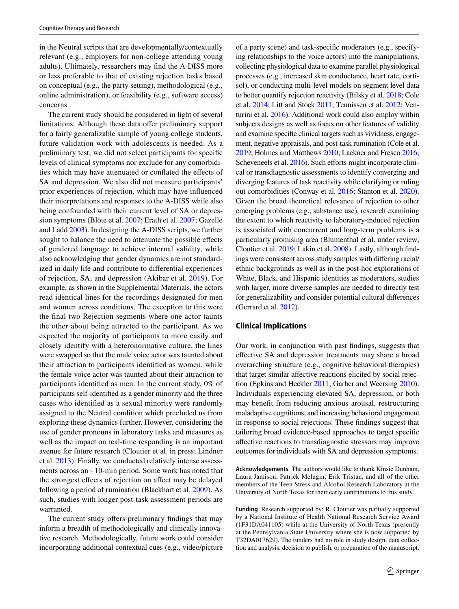in the Neutral scripts that are developmentally/contextually relevant (e.g., employers for non-college attending young adults). Ultimately, researchers may fnd the A-DISS more or less preferable to that of existing rejection tasks based on conceptual (e.g., the party setting), methodological (e.g., online administration), or feasibility (e.g., software access) concerns.

The current study should be considered in light of several limitations. Although these data offer preliminary support for a fairly generalizable sample of young college students, future validation work with adolescents is needed. As a preliminary test, we did not select participants for specifc levels of clinical symptoms nor exclude for any comorbidities which may have attenuated or confated the efects of SA and depression. We also did not measure participants' prior experiences of rejection, which may have infuenced their interpretations and responses to the A-DISS while also being confounded with their current level of SA or depression symptoms (Blöte et al. [2007;](#page-13-4) Erath et al. [2007](#page-14-6); Gazelle and Ladd [2003\)](#page-14-7). In designing the A-DISS scripts, we further sought to balance the need to attenuate the possible effects of gendered language to achieve internal validity, while also acknowledging that gender dynamics are not standardized in daily life and contribute to diferential experiences of rejection, SA, and depression (Akibar et al. [2019\)](#page-13-18). For example, as shown in the Supplemental Materials, the actors read identical lines for the recordings designated for men and women across conditions. The exception to this were the fnal two Rejection segments where one actor taunts the other about being attracted to the participant. As we expected the majority of participants to more easily and closely identify with a heteronormative culture, the lines were swapped so that the male voice actor was taunted about their attraction to participants identifed as women, while the female voice actor was taunted about their attraction to participants identifed as men. In the current study, 0% of participants self-identifed as a gender minority and the three cases who identifed as a sexual minority were randomly assigned to the Neutral condition which precluded us from exploring these dynamics further. However, considering the use of gender pronouns in laboratory tasks and measures as well as the impact on real-time responding is an important avenue for future research (Cloutier et al. in press; Lindner et al. [2013\)](#page-14-27). Finally, we conducted relatively intense assessments across an ~10-min period. Some work has noted that the strongest efects of rejection on afect may be delayed following a period of rumination (Blackhart et al. [2009\)](#page-13-7). As such, studies with longer post-task assessment periods are warranted.

The current study offers preliminary findings that may inform a breadth of methodologically and clinically innovative research. Methodologically, future work could consider incorporating additional contextual cues (e.g., video/picture of a party scene) and task-specifc moderators (e.g., specifying relationships to the voice actors) into the manipulations, collecting physiological data to examine parallel physiological processes (e.g., increased skin conductance, heart rate, cortisol), or conducting multi-level models on segment level data to better quantify rejection reactivity (Bilsky et al. [2018;](#page-13-19) Cole et al. [2014;](#page-13-16) Litt and Stock [2011](#page-14-28); Teunissen et al. [2012;](#page-15-16) Venturini et al. [2016\)](#page-15-17). Additional work could also employ within subjects designs as well as focus on other features of validity and examine specifc clinical targets such as vividness, engagement, negative appraisals, and post-task rumination (Cole et al. [2019;](#page-13-20) Holmes and Matthews [2010;](#page-14-13) Lackner and Fresco [2016](#page-14-29); Scheveneels et al. [2016\)](#page-15-18). Such efforts might incorporate clinical or transdiagnostic assessments to identify converging and diverging features of task reactivity while clarifying or ruling out comorbidities (Conway et al. [2016](#page-13-21); Stanton et al. [2020](#page-15-19)). Given the broad theoretical relevance of rejection to other emerging problems (e.g., substance use), research examining the extent to which reactivity to laboratory-induced rejection is associated with concurrent and long-term problems is a particularly promising area (Blumenthal et al. under review; Cloutier et al. [2019](#page-13-22); Lakin et al. [2008](#page-14-30)). Lastly, although fndings were consistent across study samples with difering racial/ ethnic backgrounds as well as in the post-hoc explorations of White, Black, and Hispanic identities as moderators, studies with larger, more diverse samples are needed to directly test for generalizability and consider potential cultural diferences (Gerrard et al. [2012\)](#page-14-31).

#### **Clinical Implications**

Our work, in conjunction with past fndings, suggests that efective SA and depression treatments may share a broad overarching structure (e.g., cognitive behavioral therapies) that target similar afective reactions elicited by social rejection (Epkins and Heckler [2011](#page-13-1); Garber and Weersing [2010\)](#page-14-11). Individuals experiencing elevated SA, depression, or both may beneft from reducing anxious arousal, restructuring maladaptive cognitions, and increasing behavioral engagement in response to social rejections. These fndings suggest that tailoring broad evidence-based approaches to target specifc afective reactions to transdiagnostic stressors may improve outcomes for individuals with SA and depression symptoms.

**Acknowledgements** The authors would like to thank Kinsie Dunham, Laura Jamison, Patrick Melugin, Erik Tristan, and all of the other members of the Teen Stress and Alcohol Research Laboratory at the University of North Texas for their early contributions to this study.

**Funding** Research supported by: R. Cloutier was partially supported by a National Institute of Health National Research Service Award (1F31DA041105) while at the University of North Texas (presently at the Pennsylvania State University where she is now supported by T32DA017629). The funders had no role in study design, data collection and analysis, decision to publish, or preparation of the manuscript.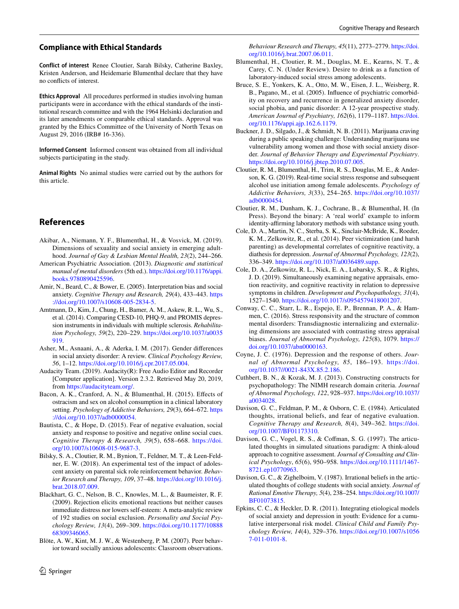## **Compliance with Ethical Standards**

**Conflict of interest** Renee Cloutier, Sarah Bilsky, Catherine Baxley, Kristen Anderson, and Heidemarie Blumenthal declare that they have no conficts of interest.

**Ethics Approval** All procedures performed in studies involving human participants were in accordance with the ethical standards of the institutional research committee and with the 1964 Helsinki declaration and its later amendments or comparable ethical standards. Approval was granted by the Ethics Committee of the University of North Texas on August 29, 2016 (IRB# 16-336).

**Informed Consent** Informed consent was obtained from all individual subjects participating in the study.

**Animal Rights** No animal studies were carried out by the authors for this article.

# **References**

- <span id="page-13-18"></span>Akibar, A., Niemann, Y. F., Blumenthal, H., & Vosvick, M. (2019). Dimensions of sexuality and social anxiety in emerging adulthood. *Journal of Gay & Lesbian Mental Health, 23*(2), 244–266.
- <span id="page-13-6"></span>American Psychiatric Association. (2013). *Diagnostic and statistical manual of mental disorders* (5th ed.). [https://doi.org/10.1176/appi.](https://doi.org/10.1176/appi.books.9780890425596) [books.9780890425596.](https://doi.org/10.1176/appi.books.9780890425596)
- <span id="page-13-5"></span>Amir, N., Beard, C., & Bower, E. (2005). Interpretation bias and social anxiety. *Cognitive Therapy and Research, 29*(4), 433–443. [https](https://doi.org/10.1007/s10608-005-2834-5) [://doi.org/10.1007/s10608-005-2834-5](https://doi.org/10.1007/s10608-005-2834-5).
- <span id="page-13-14"></span>Amtmann, D., Kim, J., Chung, H., Bamer, A. M., Askew, R. L., Wu, S., et al. (2014). Comparing CESD-10, PHQ-9, and PROMIS depression instruments in individuals with multiple sclerosis. *Rehabilitation Psychology, 59*(2), 220–229. [https://doi.org/10.1037/a0035](https://doi.org/10.1037/a0035919) [919.](https://doi.org/10.1037/a0035919)
- <span id="page-13-11"></span>Asher, M., Asnaani, A., & Aderka, I. M. (2017). Gender diferences in social anxiety disorder: A review. *Clinical Psychology Review, 56*, 1–12. [https://doi.org/10.1016/j.cpr.2017.05.004.](https://doi.org/10.1016/j.cpr.2017.05.004)
- <span id="page-13-13"></span>Audacity Team. (2019). Audacity(R): Free Audio Editor and Recorder [Computer application]. Version 2.3.2. Retrieved May 20, 2019, from <https://audacityteam.org/>.
- <span id="page-13-8"></span>Bacon, A. K., Cranford, A. N., & Blumenthal, H. (2015). Efects of ostracism and sex on alcohol consumption in a clinical laboratory setting. *Psychology of Addictive Behaviors, 29*(3), 664–672. [https](https://doi.org/10.1037/adb0000054) [://doi.org/10.1037/adb0000054.](https://doi.org/10.1037/adb0000054)
- <span id="page-13-15"></span>Bautista, C., & Hope, D. (2015). Fear of negative evaluation, social anxiety and response to positive and negative online social cues. *Cognitive Therapy & Research, 39*(5), 658–668. [https://doi.](https://doi.org/10.1007/s10608-015-9687-3) [org/10.1007/s10608-015-9687-3.](https://doi.org/10.1007/s10608-015-9687-3)
- <span id="page-13-19"></span>Bilsky, S. A., Cloutier, R. M., Bynion, T., Feldner, M. T., & Leen-Feldner, E. W. (2018). An experimental test of the impact of adolescent anxiety on parental sick role reinforcement behavior. *Behavior Research and Therapy, 109*, 37–48. [https://doi.org/10.1016/j.](https://doi.org/10.1016/j.brat.2018.07.009) [brat.2018.07.009.](https://doi.org/10.1016/j.brat.2018.07.009)
- <span id="page-13-7"></span>Blackhart, G. C., Nelson, B. C., Knowles, M. L., & Baumeister, R. F. (2009). Rejection elicits emotional reactions but neither causes immediate distress nor lowers self-esteem: A meta-analytic review of 192 studies on social exclusion. *Personality and Social Psychology Review, 13*(4), 269–309. [https://doi.org/10.1177/10888](https://doi.org/10.1177/1088868309346065) [68309346065](https://doi.org/10.1177/1088868309346065).
- <span id="page-13-4"></span>Blöte, A. W., Kint, M. J. W., & Westenberg, P. M. (2007). Peer behavior toward socially anxious adolescents: Classroom observations.

*Behaviour Research and Therapy, 45*(11), 2773–2779. [https://doi.](https://doi.org/10.1016/j.brat.2007.06.011) [org/10.1016/j.brat.2007.06.011](https://doi.org/10.1016/j.brat.2007.06.011).

- Blumenthal, H., Cloutier, R. M., Douglas, M. E., Kearns, N. T., & Carey, C. N. (Under Review). Desire to drink as a function of laboratory-induced social stress among adolescents.
- <span id="page-13-0"></span>Bruce, S. E., Yonkers, K. A., Otto, M. W., Eisen, J. L., Weisberg, R. B., Pagano, M., et al. (2005). Infuence of psychiatric comorbidity on recovery and recurrence in generalized anxiety disorder, social phobia, and panic disorder: A 12-year prospective study. *American Journal of Psychiatry, 162*(6), 1179–1187. [https://doi.](https://doi.org/10.1176/appi.ajp.162.6.1179) [org/10.1176/appi.ajp.162.6.1179](https://doi.org/10.1176/appi.ajp.162.6.1179).
- <span id="page-13-17"></span>Buckner, J. D., Silgado, J., & Schmidt, N. B. (2011). Marijuana craving during a public speaking challenge: Understanding marijuana use vulnerability among women and those with social anxiety disorder. *Journal of Behavior Therapy and Experimental Psychiatry*. <https://doi.org/10.1016/j.jbtep.2010.07.005>.
- <span id="page-13-22"></span>Cloutier, R. M., Blumenthal, H., Trim, R. S., Douglas, M. E., & Anderson, K. G. (2019). Real-time social stress response and subsequent alcohol use initiation among female adolescents. *Psychology of Addictive Behaviors, 3*(33), 254–265. [https://doi.org/10.1037/](https://doi.org/10.1037/adb0000454) [adb0000454.](https://doi.org/10.1037/adb0000454)
- Cloutier, R. M., Dunham, K. J., Cochrane, B., & Blumenthal, H. (In Press). Beyond the binary: A 'real world' example to inform identity-affirming laboratory methods with substance using youth.
- <span id="page-13-16"></span>Cole, D. A., Martin, N. C., Sterba, S. K., Sinclair-McBride, K., Roeder, K. M., Zelkowitz, R., et al. (2014). Peer victimization (and harsh parenting) as developmental correlates of cognitive reactivity, a diathesis for depression. *Journal of Abnormal Psychology, 123*(2), 336–349. [https://doi.org/10.1037/a0036489.supp.](https://doi.org/10.1037/a0036489.supp)
- <span id="page-13-20"></span>Cole, D. A., Zelkowitz, R. L., Nick, E. A., Lubarsky, S. R., & Rights, J. D. (2019). Simultaneously examining negative appraisals, emotion reactivity, and cognitive reactivity in relation to depressive symptoms in children. *Development and Psychopathology, 31*(4), 1527–1540.<https://doi.org/10.1017/s0954579418001207>.
- <span id="page-13-21"></span>Conway, C. C., Starr, L. R., Espejo, E. P., Brennan, P. A., & Hammen, C. (2016). Stress responsivity and the structure of common mental disorders: Transdiagnostic internalizing and externalizing dimensions are associated with contrasting stress appraisal biases. *Journal of Abnormal Psychology, 125*(8), 1079. [https://](https://doi.org/10.1037/abn0000163) [doi.org/10.1037/abn0000163.](https://doi.org/10.1037/abn0000163)
- <span id="page-13-3"></span>Coyne, J. C. (1976). Depression and the response of others. *Journal of Abnormal Psychology, 85*, 186–193. [https://doi.](https://doi.org/10.1037//0021-843X.85.2.186) [org/10.1037//0021-843X.85.2.186.](https://doi.org/10.1037//0021-843X.85.2.186)
- <span id="page-13-2"></span>Cuthbert, B. N., & Kozak, M. J. (2013). Constructing constructs for psychopathology: The NIMH research domain criteria. *Journal of Abnormal Psychology, 122*, 928–937. [https://doi.org/10.1037/](https://doi.org/10.1037/a0034028) [a0034028](https://doi.org/10.1037/a0034028).
- <span id="page-13-9"></span>Davison, G. C., Feldman, P. M., & Osborn, C. E. (1984). Articulated thoughts, irrational beliefs, and fear of negative evaluation. *Cognitive Therapy and Research, 8*(4), 349–362. [https://doi.](https://doi.org/10.1007/BF01173310) [org/10.1007/BF01173310](https://doi.org/10.1007/BF01173310).
- <span id="page-13-10"></span>Davison, G. C., Vogel, R. S., & Cofman, S. G. (1997). The articulated thoughts in simulated situations paradigm: A think-aloud approach to cognitive assessment. *Journal of Consulting and Clinical Psychology*, *65*(6), 950–958. [https://doi.org/10.1111/1467-](https://doi.org/10.1111/1467-8721.ep10770963) [8721.ep10770963.](https://doi.org/10.1111/1467-8721.ep10770963)
- <span id="page-13-12"></span>Davison, G. C., & Zighelboim, V. (1987). Irrational beliefs in the articulated thoughts of college students with social anxiety. *Journal of Rational Emotive Therapy, 5*(4), 238–254. [https://doi.org/10.1007/](https://doi.org/10.1007/BF01073815) [BF01073815.](https://doi.org/10.1007/BF01073815)
- <span id="page-13-1"></span>Epkins, C. C., & Heckler, D. R. (2011). Integrating etiological models of social anxiety and depression in youth: Evidence for a cumulative interpersonal risk model. *Clinical Child and Family Psychology Review, 14*(4), 329–376. [https://doi.org/10.1007/s1056](https://doi.org/10.1007/s10567-011-0101-8) [7-011-0101-8](https://doi.org/10.1007/s10567-011-0101-8).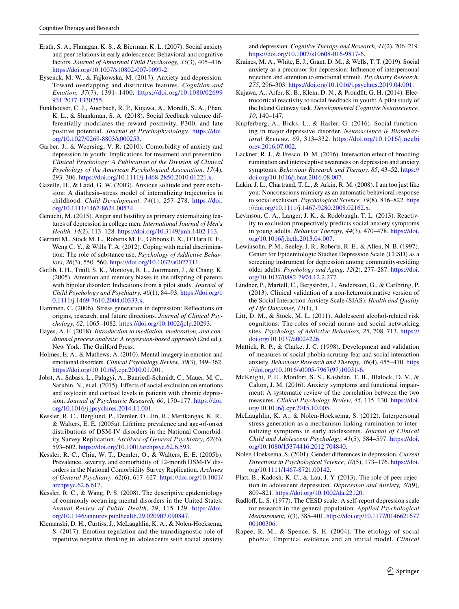- <span id="page-14-6"></span>Erath, S. A., Flanagan, K. S., & Bierman, K. L. (2007). Social anxiety and peer relations in early adolescence: Behavioral and cognitive factors. *Journal of Abnormal Child Psychology, 35*(3), 405–416. [https://doi.org/10.1007/s10802-007-9099-2.](https://doi.org/10.1007/s10802-007-9099-2)
- <span id="page-14-22"></span>Eysenck, M. W., & Fajkowska, M. (2017). Anxiety and depression: Toward overlapping and distinctive features. *Cognition and Emotion, 37*(7), 1391–1400. [https://doi.org/10.1080/02699](https://doi.org/10.1080/02699931.2017.1330255) [931.2017.1330255](https://doi.org/10.1080/02699931.2017.1330255).
- <span id="page-14-25"></span>Funkhouser, C. J., Auerbach, R. P., Kujawa, A., Morelli, S. A., Phan, K. L., & Shankman, S. A. (2018). Social feedback valence differentially modulates the reward positivity, P300, and late positive potential. *Journal of Psychophysiology*. [https://doi.](https://doi.org/10.1027/0269-8803/a000253) [org/10.1027/0269-8803/a000253](https://doi.org/10.1027/0269-8803/a000253).
- <span id="page-14-11"></span>Garber, J., & Weersing, V. R. (2010). Comorbidity of anxiety and depression in youth: Implications for treatment and prevention. *Clinical Psychology: A Publication of the Division of Clinical Psychology of the American Psychological Association, 17*(4), 293–306. [https://doi.org/10.1111/j.1468-2850.2010.01221.x.](https://doi.org/10.1111/j.1468-2850.2010.01221.x)
- <span id="page-14-7"></span>Gazelle, H., & Ladd, G. W. (2003). Anxious solitude and peer exclusion: A diathesis–stress model of internalizing trajectories in childhood. *Child Development, 74*(1), 257–278. [https://doi.](https://doi.org/10.1111/1467-8624.00534) [org/10.1111/1467-8624.00534.](https://doi.org/10.1111/1467-8624.00534)
- <span id="page-14-24"></span>Genuchi, M. (2015). Anger and hostility as primary externalizing features of depression in college men. *International Journal of Men's Health, 14*(2), 113–128. [https://doi.org/10.3149/jmh.1402.113.](https://doi.org/10.3149/jmh.1402.113)
- <span id="page-14-31"></span>Gerrard M., Stock M. L., Roberts M. E., Gibbons F. X., O'Hara R. E., Weng C. Y., & Wills T. A. (2012). Coping with racial discrimination: The role of substance use. *Psychology of Addictive Behaviors*, *26*(3), 550–560. [https://doi.org/10.1037/a0027711.](https://doi.org/10.1037/a0027711)
- <span id="page-14-15"></span>Gotlib, I. H., Traill, S. K., Montoya, R. L., Joormann, J., & Chang, K. (2005). Attention and memory biases in the ofspring of parents with bipolar disorder: Indications from a pilot study. *Journal of Child Psychology and Psychiatry, 46*(1), 84–93. [https://doi.org/1](https://doi.org/10.1111/j.1469-7610.2004.00333.x) [0.1111/j.1469-7610.2004.00333.x](https://doi.org/10.1111/j.1469-7610.2004.00333.x).
- <span id="page-14-5"></span>Hammen, C. (2006). Stress generation in depression: Refections on origins, research, and future directions. *Journal of Clinical Psychology, 62*, 1065–1082. [https://doi.org/10.1002/jclp.20293.](https://doi.org/10.1002/jclp.20293)
- <span id="page-14-19"></span>Hayes, A. F. (2018). *Introduction to mediation, moderation, and conditional process analysis: A regression-based approach* (2nd ed.). New York: The Guilford Press.
- <span id="page-14-13"></span>Holmes, E. A., & Mathews, A. (2010). Mental imagery in emotion and emotional disorders. *Clinical Psychology Review, 30*(3), 349–362. <https://doi.org/10.1016/j.cpr.2010.01.001>.
- <span id="page-14-23"></span>Jobst, A., Sabass, L., Palagyi, A., Bauriedl-Schmidt, C., Mauer, M. C., Sarubin, N., et al. (2015). Efects of social exclusion on emotions and oxytocin and cortisol levels in patients with chronic depression. *Journal of Psychiatric Research, 60*, 170–177. [https://doi.](https://doi.org/10.1016/j.jpsychires.2014.11.001) [org/10.1016/j.jpsychires.2014.11.001](https://doi.org/10.1016/j.jpsychires.2014.11.001).
- <span id="page-14-2"></span>Kessler, R. C., Berglund, P., Demler, O., Jin, R., Merikangas, K. R., & Walters, E. E. (2005a). Lifetime prevalence and age-of-onset distributions of DSM-IV disorders in the National Comorbidity Survey Replication. *Archives of General Psychiatry, 62*(6), 593–602.<https://doi.org/10.1001/archpsyc.62.6.593>.
- <span id="page-14-3"></span>Kessler, R. C., Chiu, W. T., Demler, O., & Walters, E. E. (2005b). Prevalence, severity, and comorbidity of 12-month DSM-IV disorders in the National Comorbidity Survey Replication. *Archives of General Psychiatry, 62*(6), 617–627. [https://doi.org/10.1001/](https://doi.org/10.1001/archpsyc.62.6.617) [archpsyc.62.6.617.](https://doi.org/10.1001/archpsyc.62.6.617)
- <span id="page-14-0"></span>Kessler, R. C., & Wang, P. S. (2008). The descriptive epidemiology of commonly occurring mental disorders in the United States. *Annual Review of Public Health, 29*, 115–129. [https://doi.](https://doi.org/10.1146/annurev.publhealth.29.020907.090847) [org/10.1146/annurev.publhealth.29.020907.090847](https://doi.org/10.1146/annurev.publhealth.29.020907.090847).
- <span id="page-14-9"></span>Klemanski, D. H., Curtiss, J., McLaughlin, K. A., & Nolen-Hoeksema, S. (2017). Emotion regulation and the transdiagnostic role of repetitive negative thinking in adolescents with social anxiety

and depression. *Cognitive Therapy and Research, 41*(2), 206–219. <https://doi.org/10.1007/s10608-016-9817-6>.

- <span id="page-14-10"></span>Kraines, M. A., White, E. J., Grant, D. M., & Wells, T. T. (2019). Social anxiety as a precursor for depression: Infuence of interpersonal rejection and attention to emotional stimuli. *Psychiatry Research, 275*, 296–303. <https://doi.org/10.1016/j.psychres.2019.04.001>.
- <span id="page-14-26"></span>Kujawa, A., Arfer, K. B., Klein, D. N., & Proudft, G. H. (2014). Electrocortical reactivity to social feedback in youth: A pilot study of the Island Getaway task. *Developmental Cognitive Neuroscience, 10*, 140–147.
- <span id="page-14-12"></span>Kupferberg, A., Bicks, L., & Hasler, G. (2016). Social functioning in major depressive disorder. *Neuroscience & Biobehavioral Reviews, 69*, 313–332. [https://doi.org/10.1016/j.neubi](https://doi.org/10.1016/j.neubiorev.2016.07.002) [orev.2016.07.002.](https://doi.org/10.1016/j.neubiorev.2016.07.002)
- <span id="page-14-29"></span>Lackner, R. J., & Fresco, D. M. (2016). Interaction effect of brooding rumination and interoceptive awareness on depression and anxiety symptoms. *Behaviour Research and Therapy, 85*, 43–52. [https://](https://doi.org/10.1016/j.brat.2016.08.007) [doi.org/10.1016/j.brat.2016.08.007](https://doi.org/10.1016/j.brat.2016.08.007).
- <span id="page-14-30"></span>Lakin, J. L., Chartrand, T. L., & Arkin, R. M. (2008). I am too just like you: Nonconscious mimicry as an automatic behavioral response to social exclusion. *Psychological Science, 19*(8), 816–822. [https](https://doi.org/10.1111/j.1467-9280.2008.02162.x) [://doi.org/10.1111/j.1467-9280.2008.02162.x.](https://doi.org/10.1111/j.1467-9280.2008.02162.x)
- <span id="page-14-20"></span>Levinson, C. A., Langer, J. K., & Rodebaugh, T. L. (2013). Reactivity to exclusion prospectively predicts social anxiety symptoms in young adults. *Behavior Therapy, 44*(3), 470–478. [https://doi.](https://doi.org/10.1016/j.beth.2013.04.007) [org/10.1016/j.beth.2013.04.007.](https://doi.org/10.1016/j.beth.2013.04.007)
- <span id="page-14-17"></span>Lewinsohn, P. M., Seeley, J. R., Roberts, R. E., & Allen, N. B. (1997). Center for Epidemiologic Studies Depression Scale (CESD) as a screening instrument for depression among community-residing older adults. *Psychology and Aging, 12*(2), 277–287. [https://doi.](https://doi.org/10.1037/0882-7974.12.2.277) [org/10.1037/0882-7974.12.2.277.](https://doi.org/10.1037/0882-7974.12.2.277)
- <span id="page-14-27"></span>Lindner, P., Martell, C., Bergström, J., Andersson, G., & Carlbring, P. (2013). Clinical validation of a non-heteronormative version of the Social Interaction Anxiety Scale (SIAS). *Health and Quality of Life Outcomes, 11*(1), 1.
- <span id="page-14-28"></span>Litt, D. M., & Stock, M. L. (2011). Adolescent alcohol-related risk cognitions: The roles of social norms and social networking sites. *Psychology of Addictive Behaviors, 25*, 708–713. [https://](https://doi.org/10.1037/a0024226) [doi.org/10.1037/a0024226](https://doi.org/10.1037/a0024226).
- <span id="page-14-16"></span>Mattick, R. P., & Clarke, J. C. (1998). Development and validation of measures of social phobia scrutiny fear and social interaction anxiety. *Behaviour Research and Therapy, 36*(4), 455–470. [https](https://doi.org/10.1016/s0005-7967(97)10031-6) [://doi.org/10.1016/s0005-7967\(97\)10031-6](https://doi.org/10.1016/s0005-7967(97)10031-6).
- <span id="page-14-1"></span>McKnight, P. E., Monfort, S. S., Kashdan, T. B., Blalock, D. V., & Calton, J. M. (2016). Anxiety symptoms and functional impairment: A systematic review of the correlation between the two measures. *Clinical Psychology Review, 45*, 115–130. [https://doi.](https://doi.org/10.1016/j.cpr.2015.10.005) [org/10.1016/j.cpr.2015.10.005](https://doi.org/10.1016/j.cpr.2015.10.005).
- <span id="page-14-8"></span>McLaughlin, K. A., & Nolen-Hoeksema, S. (2012). Interpersonal stress generation as a mechanism linking rumination to internalizing symptoms in early adolescents. *Journal of Clinical Child and Adolescent Psychology, 41*(5), 584–597. [https://doi.](https://doi.org/10.1080/15374416.2012.704840) [org/10.1080/15374416.2012.704840.](https://doi.org/10.1080/15374416.2012.704840)
- <span id="page-14-14"></span>Nolen-Hoeksema, S. (2001). Gender diferences in depression. *Current Directions in Psychological Science, 10*(5), 173–176. [https://doi.](https://doi.org/10.1111/1467-8721.00142) [org/10.1111/1467-8721.00142](https://doi.org/10.1111/1467-8721.00142).
- <span id="page-14-21"></span>Platt, B., Kadosh, K. C., & Lau, J. Y. (2013). The role of peer rejection in adolescent depression. *Depression and Anxiety, 30*(9), 809–821.<https://doi.org/10.1002/da.22120>.
- <span id="page-14-18"></span>Radlof, L. S. (1977). The CESD scale: A self-report depression scale for research in the general population. *Applied Psychological Measurement, 1*(3), 385–401. [https://doi.org/10.1177/0146621677](https://doi.org/10.1177/014662167700100306) [00100306](https://doi.org/10.1177/014662167700100306).
- <span id="page-14-4"></span>Rapee, R. M., & Spence, S. H. (2004). The etiology of social phobia: Empirical evidence and an initial model. *Clinical*